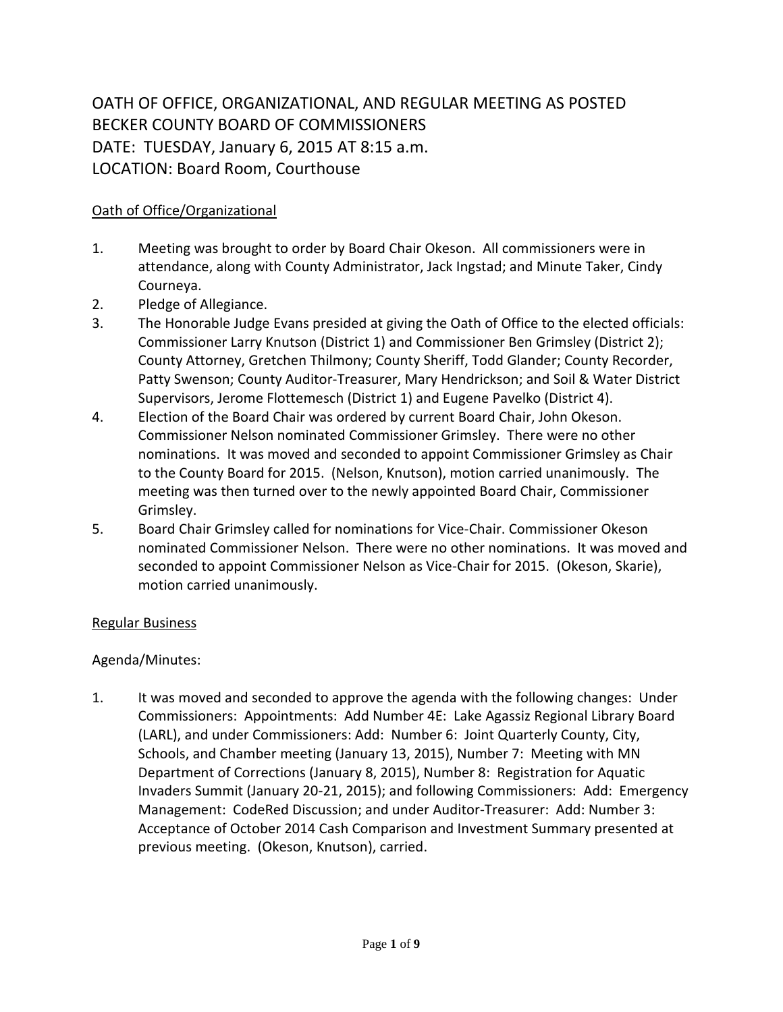OATH OF OFFICE, ORGANIZATIONAL, AND REGULAR MEETING AS POSTED BECKER COUNTY BOARD OF COMMISSIONERS DATE: TUESDAY, January 6, 2015 AT 8:15 a.m. LOCATION: Board Room, Courthouse

## Oath of Office/Organizational

- 1. Meeting was brought to order by Board Chair Okeson. All commissioners were in attendance, along with County Administrator, Jack Ingstad; and Minute Taker, Cindy Courneya.
- 2. Pledge of Allegiance.
- 3. The Honorable Judge Evans presided at giving the Oath of Office to the elected officials: Commissioner Larry Knutson (District 1) and Commissioner Ben Grimsley (District 2); County Attorney, Gretchen Thilmony; County Sheriff, Todd Glander; County Recorder, Patty Swenson; County Auditor-Treasurer, Mary Hendrickson; and Soil & Water District Supervisors, Jerome Flottemesch (District 1) and Eugene Pavelko (District 4).
- 4. Election of the Board Chair was ordered by current Board Chair, John Okeson. Commissioner Nelson nominated Commissioner Grimsley. There were no other nominations. It was moved and seconded to appoint Commissioner Grimsley as Chair to the County Board for 2015. (Nelson, Knutson), motion carried unanimously. The meeting was then turned over to the newly appointed Board Chair, Commissioner Grimsley.
- 5. Board Chair Grimsley called for nominations for Vice-Chair. Commissioner Okeson nominated Commissioner Nelson. There were no other nominations. It was moved and seconded to appoint Commissioner Nelson as Vice-Chair for 2015. (Okeson, Skarie), motion carried unanimously.

## Regular Business

## Agenda/Minutes:

1. It was moved and seconded to approve the agenda with the following changes: Under Commissioners: Appointments: Add Number 4E: Lake Agassiz Regional Library Board (LARL), and under Commissioners: Add: Number 6: Joint Quarterly County, City, Schools, and Chamber meeting (January 13, 2015), Number 7: Meeting with MN Department of Corrections (January 8, 2015), Number 8: Registration for Aquatic Invaders Summit (January 20-21, 2015); and following Commissioners: Add: Emergency Management: CodeRed Discussion; and under Auditor-Treasurer: Add: Number 3: Acceptance of October 2014 Cash Comparison and Investment Summary presented at previous meeting. (Okeson, Knutson), carried.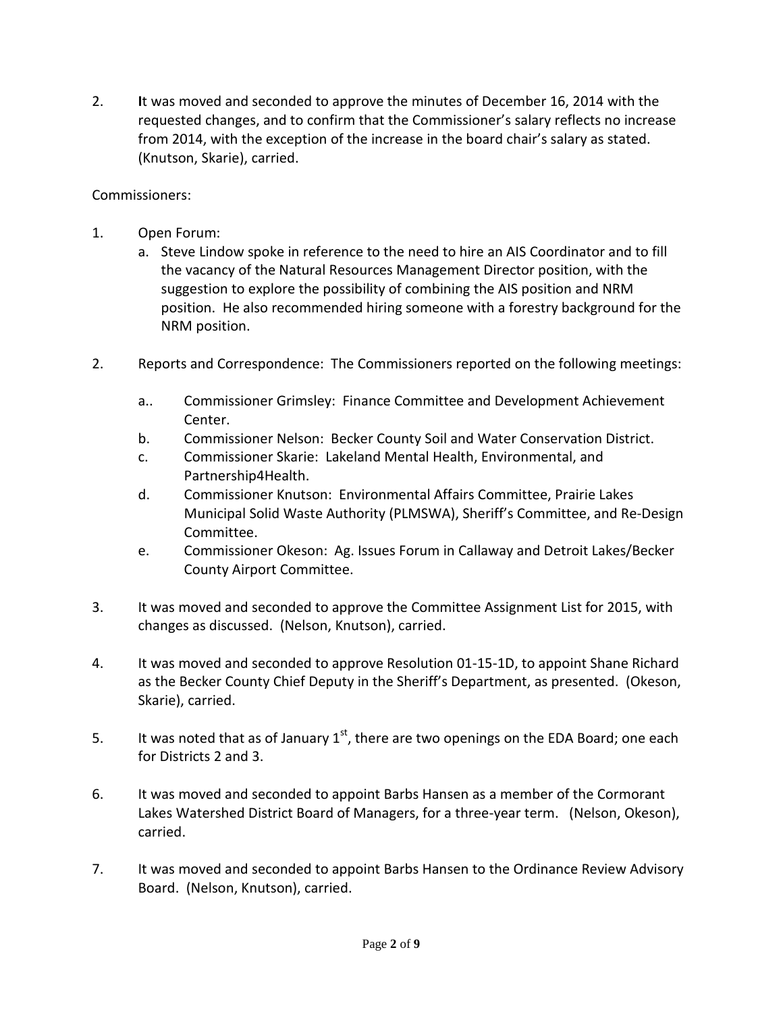2. **I**t was moved and seconded to approve the minutes of December 16, 2014 with the requested changes, and to confirm that the Commissioner's salary reflects no increase from 2014, with the exception of the increase in the board chair's salary as stated. (Knutson, Skarie), carried.

## Commissioners:

- 1. Open Forum:
	- a. Steve Lindow spoke in reference to the need to hire an AIS Coordinator and to fill the vacancy of the Natural Resources Management Director position, with the suggestion to explore the possibility of combining the AIS position and NRM position. He also recommended hiring someone with a forestry background for the NRM position.
- 2. Reports and Correspondence: The Commissioners reported on the following meetings:
	- a.. Commissioner Grimsley: Finance Committee and Development Achievement Center.
	- b. Commissioner Nelson: Becker County Soil and Water Conservation District.
	- c. Commissioner Skarie: Lakeland Mental Health, Environmental, and Partnership4Health.
	- d. Commissioner Knutson: Environmental Affairs Committee, Prairie Lakes Municipal Solid Waste Authority (PLMSWA), Sheriff's Committee, and Re-Design Committee.
	- e. Commissioner Okeson: Ag. Issues Forum in Callaway and Detroit Lakes/Becker County Airport Committee.
- 3. It was moved and seconded to approve the Committee Assignment List for 2015, with changes as discussed. (Nelson, Knutson), carried.
- 4. It was moved and seconded to approve Resolution 01-15-1D, to appoint Shane Richard as the Becker County Chief Deputy in the Sheriff's Department, as presented. (Okeson, Skarie), carried.
- 5. It was noted that as of January  $1<sup>st</sup>$ , there are two openings on the EDA Board; one each for Districts 2 and 3.
- 6. It was moved and seconded to appoint Barbs Hansen as a member of the Cormorant Lakes Watershed District Board of Managers, for a three-year term. (Nelson, Okeson), carried.
- 7. It was moved and seconded to appoint Barbs Hansen to the Ordinance Review Advisory Board. (Nelson, Knutson), carried.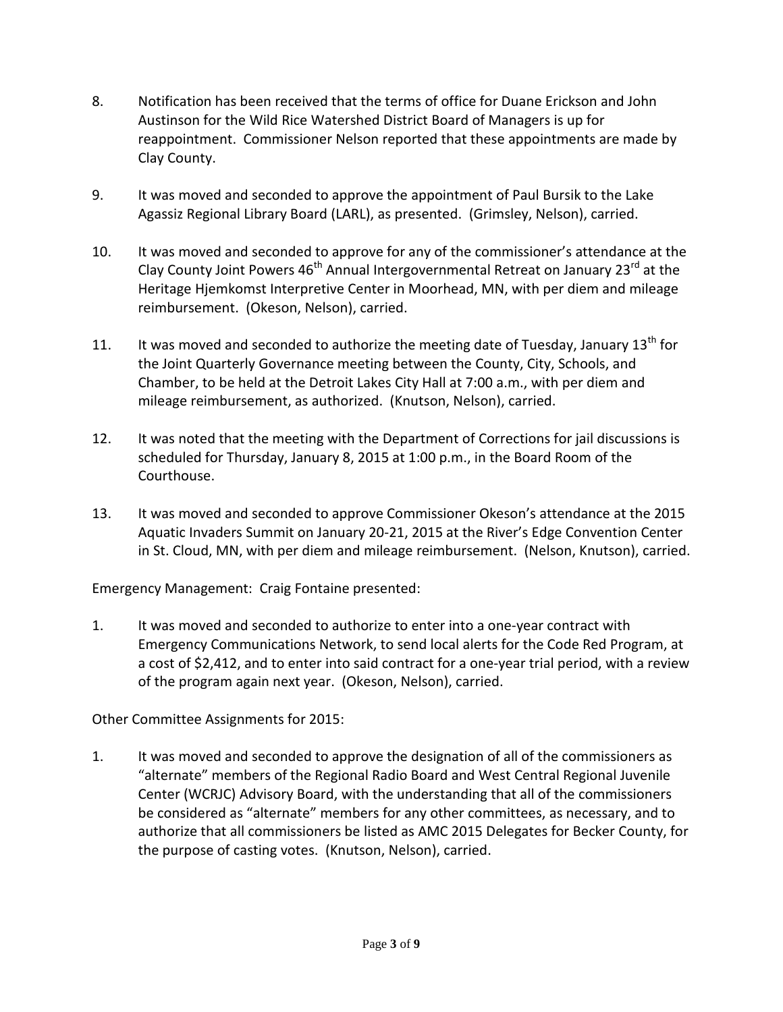- 8. Notification has been received that the terms of office for Duane Erickson and John Austinson for the Wild Rice Watershed District Board of Managers is up for reappointment. Commissioner Nelson reported that these appointments are made by Clay County.
- 9. It was moved and seconded to approve the appointment of Paul Bursik to the Lake Agassiz Regional Library Board (LARL), as presented. (Grimsley, Nelson), carried.
- 10. It was moved and seconded to approve for any of the commissioner's attendance at the Clay County Joint Powers  $46<sup>th</sup>$  Annual Intergovernmental Retreat on January 23<sup>rd</sup> at the Heritage Hjemkomst Interpretive Center in Moorhead, MN, with per diem and mileage reimbursement. (Okeson, Nelson), carried.
- 11. It was moved and seconded to authorize the meeting date of Tuesday, January  $13<sup>th</sup>$  for the Joint Quarterly Governance meeting between the County, City, Schools, and Chamber, to be held at the Detroit Lakes City Hall at 7:00 a.m., with per diem and mileage reimbursement, as authorized. (Knutson, Nelson), carried.
- 12. It was noted that the meeting with the Department of Corrections for jail discussions is scheduled for Thursday, January 8, 2015 at 1:00 p.m., in the Board Room of the Courthouse.
- 13. It was moved and seconded to approve Commissioner Okeson's attendance at the 2015 Aquatic Invaders Summit on January 20-21, 2015 at the River's Edge Convention Center in St. Cloud, MN, with per diem and mileage reimbursement. (Nelson, Knutson), carried.

Emergency Management: Craig Fontaine presented:

1. It was moved and seconded to authorize to enter into a one-year contract with Emergency Communications Network, to send local alerts for the Code Red Program, at a cost of \$2,412, and to enter into said contract for a one-year trial period, with a review of the program again next year. (Okeson, Nelson), carried.

Other Committee Assignments for 2015:

1. It was moved and seconded to approve the designation of all of the commissioners as "alternate" members of the Regional Radio Board and West Central Regional Juvenile Center (WCRJC) Advisory Board, with the understanding that all of the commissioners be considered as "alternate" members for any other committees, as necessary, and to authorize that all commissioners be listed as AMC 2015 Delegates for Becker County, for the purpose of casting votes. (Knutson, Nelson), carried.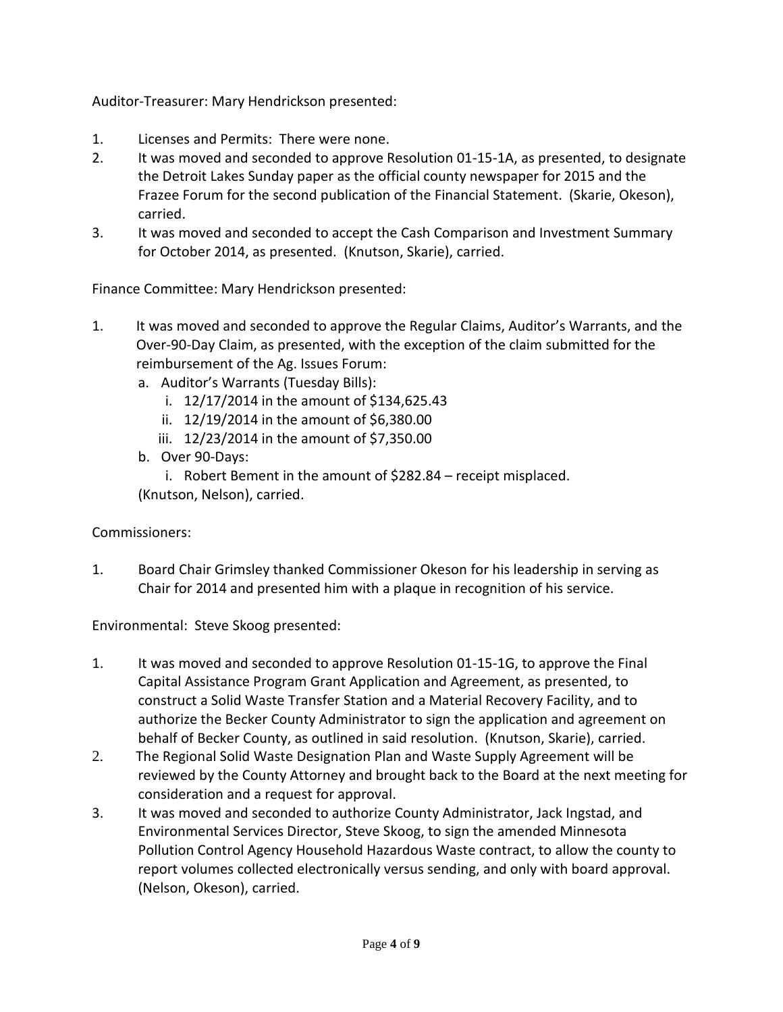Auditor-Treasurer: Mary Hendrickson presented:

- 1. Licenses and Permits: There were none.
- 2. It was moved and seconded to approve Resolution 01-15-1A, as presented, to designate the Detroit Lakes Sunday paper as the official county newspaper for 2015 and the Frazee Forum for the second publication of the Financial Statement. (Skarie, Okeson), carried.
- 3. It was moved and seconded to accept the Cash Comparison and Investment Summary for October 2014, as presented. (Knutson, Skarie), carried.

Finance Committee: Mary Hendrickson presented:

- 1. It was moved and seconded to approve the Regular Claims, Auditor's Warrants, and the Over-90-Day Claim, as presented, with the exception of the claim submitted for the reimbursement of the Ag. Issues Forum:
	- a. Auditor's Warrants (Tuesday Bills):
		- i. 12/17/2014 in the amount of \$134,625.43
		- ii. 12/19/2014 in the amount of \$6,380.00
		- iii. 12/23/2014 in the amount of \$7,350.00
	- b. Over 90-Days:

i. Robert Bement in the amount of \$282.84 – receipt misplaced. (Knutson, Nelson), carried.

Commissioners:

1. Board Chair Grimsley thanked Commissioner Okeson for his leadership in serving as Chair for 2014 and presented him with a plaque in recognition of his service.

Environmental: Steve Skoog presented:

- 1. It was moved and seconded to approve Resolution 01-15-1G, to approve the Final Capital Assistance Program Grant Application and Agreement, as presented, to construct a Solid Waste Transfer Station and a Material Recovery Facility, and to authorize the Becker County Administrator to sign the application and agreement on behalf of Becker County, as outlined in said resolution. (Knutson, Skarie), carried.
- 2. The Regional Solid Waste Designation Plan and Waste Supply Agreement will be reviewed by the County Attorney and brought back to the Board at the next meeting for consideration and a request for approval.
- 3. It was moved and seconded to authorize County Administrator, Jack Ingstad, and Environmental Services Director, Steve Skoog, to sign the amended Minnesota Pollution Control Agency Household Hazardous Waste contract, to allow the county to report volumes collected electronically versus sending, and only with board approval. (Nelson, Okeson), carried.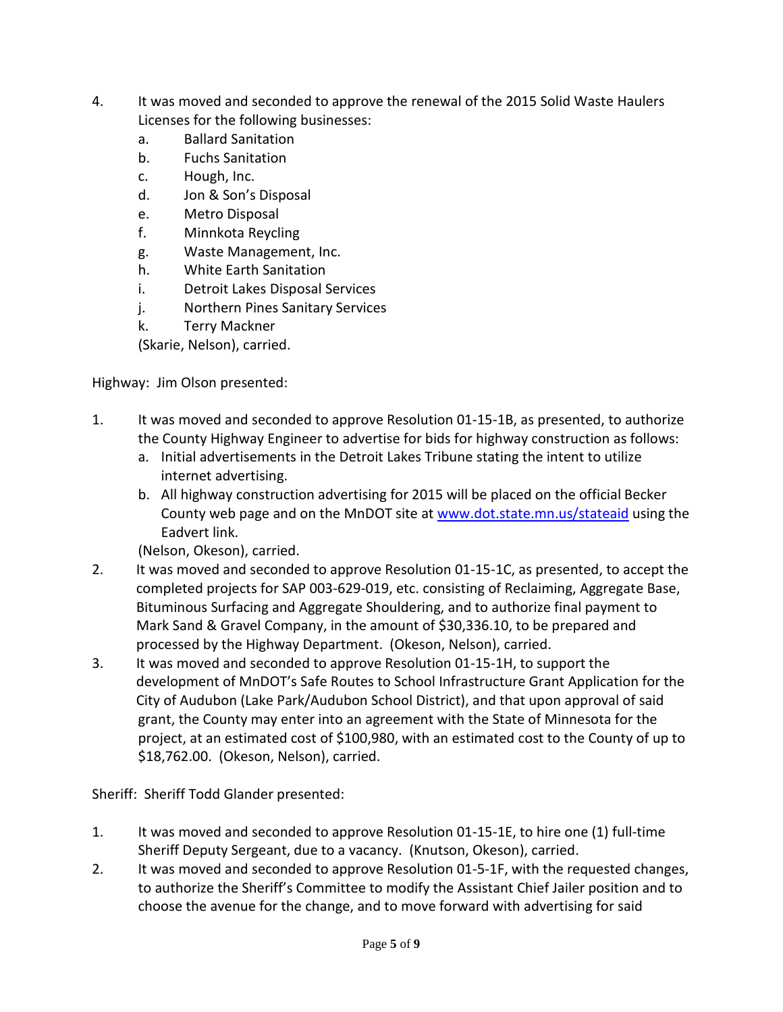- 4. It was moved and seconded to approve the renewal of the 2015 Solid Waste Haulers Licenses for the following businesses:
	- a. Ballard Sanitation
	- b. Fuchs Sanitation
	- c. Hough, Inc.
	- d. Jon & Son's Disposal
	- e. Metro Disposal
	- f. Minnkota Reycling
	- g. Waste Management, Inc.
	- h. White Earth Sanitation
	- i. Detroit Lakes Disposal Services
	- j. Northern Pines Sanitary Services
	- k. Terry Mackner

(Skarie, Nelson), carried.

Highway: Jim Olson presented:

- 1. It was moved and seconded to approve Resolution 01-15-1B, as presented, to authorize the County Highway Engineer to advertise for bids for highway construction as follows:
	- a. Initial advertisements in the Detroit Lakes Tribune stating the intent to utilize internet advertising.
	- b. All highway construction advertising for 2015 will be placed on the official Becker County web page and on the MnDOT site at [www.dot.state.mn.us/stateaid](http://www.dot.state.mn.us/stateaid) using the Eadvert link.

(Nelson, Okeson), carried.

- 2. It was moved and seconded to approve Resolution 01-15-1C, as presented, to accept the completed projects for SAP 003-629-019, etc. consisting of Reclaiming, Aggregate Base, Bituminous Surfacing and Aggregate Shouldering, and to authorize final payment to Mark Sand & Gravel Company, in the amount of \$30,336.10, to be prepared and processed by the Highway Department. (Okeson, Nelson), carried.
- 3. It was moved and seconded to approve Resolution 01-15-1H, to support the development of MnDOT's Safe Routes to School Infrastructure Grant Application for the City of Audubon (Lake Park/Audubon School District), and that upon approval of said grant, the County may enter into an agreement with the State of Minnesota for the project, at an estimated cost of \$100,980, with an estimated cost to the County of up to \$18,762.00. (Okeson, Nelson), carried.

Sheriff: Sheriff Todd Glander presented:

- 1. It was moved and seconded to approve Resolution 01-15-1E, to hire one (1) full-time Sheriff Deputy Sergeant, due to a vacancy. (Knutson, Okeson), carried.
- 2. It was moved and seconded to approve Resolution 01-5-1F, with the requested changes, to authorize the Sheriff's Committee to modify the Assistant Chief Jailer position and to choose the avenue for the change, and to move forward with advertising for said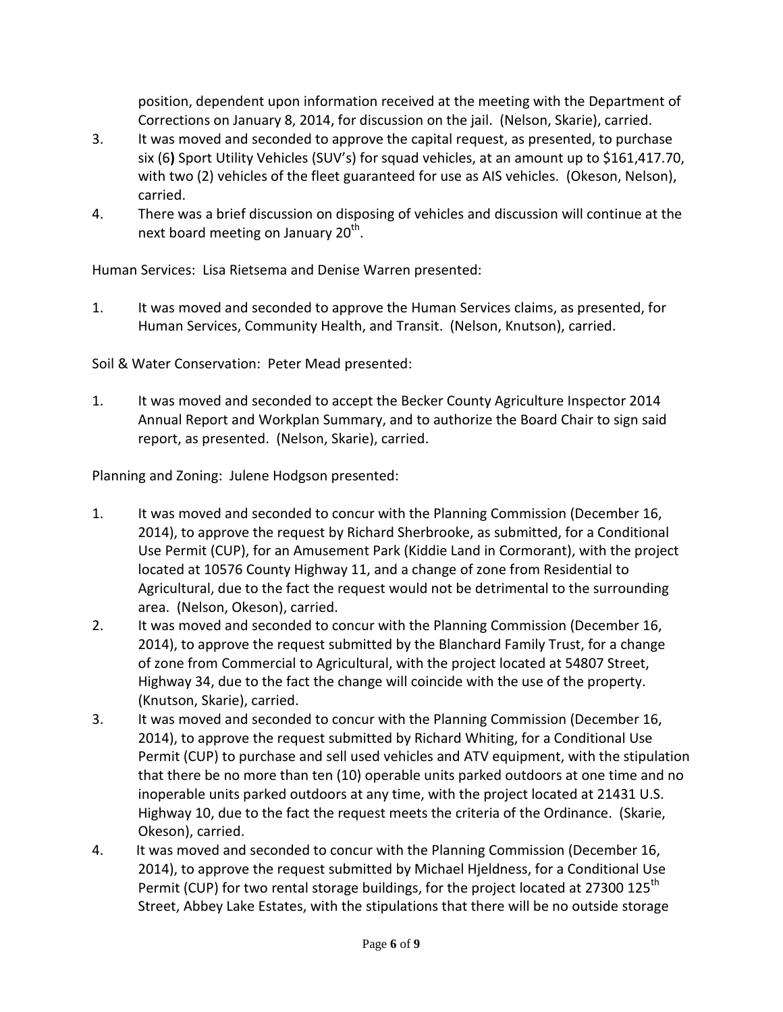position, dependent upon information received at the meeting with the Department of Corrections on January 8, 2014, for discussion on the jail. (Nelson, Skarie), carried.

- 3. It was moved and seconded to approve the capital request, as presented, to purchase six (6**)** Sport Utility Vehicles (SUV's) for squad vehicles, at an amount up to \$161,417.70, with two (2) vehicles of the fleet guaranteed for use as AIS vehicles. (Okeson, Nelson), carried.
- 4. There was a brief discussion on disposing of vehicles and discussion will continue at the next board meeting on January 20<sup>th</sup>.

Human Services: Lisa Rietsema and Denise Warren presented:

1. It was moved and seconded to approve the Human Services claims, as presented, for Human Services, Community Health, and Transit. (Nelson, Knutson), carried.

Soil & Water Conservation: Peter Mead presented:

1. It was moved and seconded to accept the Becker County Agriculture Inspector 2014 Annual Report and Workplan Summary, and to authorize the Board Chair to sign said report, as presented. (Nelson, Skarie), carried.

Planning and Zoning: Julene Hodgson presented:

- 1. It was moved and seconded to concur with the Planning Commission (December 16, 2014), to approve the request by Richard Sherbrooke, as submitted, for a Conditional Use Permit (CUP), for an Amusement Park (Kiddie Land in Cormorant), with the project located at 10576 County Highway 11, and a change of zone from Residential to Agricultural, due to the fact the request would not be detrimental to the surrounding area. (Nelson, Okeson), carried.
- 2. It was moved and seconded to concur with the Planning Commission (December 16, 2014), to approve the request submitted by the Blanchard Family Trust, for a change of zone from Commercial to Agricultural, with the project located at 54807 Street, Highway 34, due to the fact the change will coincide with the use of the property. (Knutson, Skarie), carried.
- 3. It was moved and seconded to concur with the Planning Commission (December 16, 2014), to approve the request submitted by Richard Whiting, for a Conditional Use Permit (CUP) to purchase and sell used vehicles and ATV equipment, with the stipulation that there be no more than ten (10) operable units parked outdoors at one time and no inoperable units parked outdoors at any time, with the project located at 21431 U.S. Highway 10, due to the fact the request meets the criteria of the Ordinance. (Skarie, Okeson), carried.
- 4. It was moved and seconded to concur with the Planning Commission (December 16, 2014), to approve the request submitted by Michael Hjeldness, for a Conditional Use Permit (CUP) for two rental storage buildings, for the project located at 27300 125<sup>th</sup> Street, Abbey Lake Estates, with the stipulations that there will be no outside storage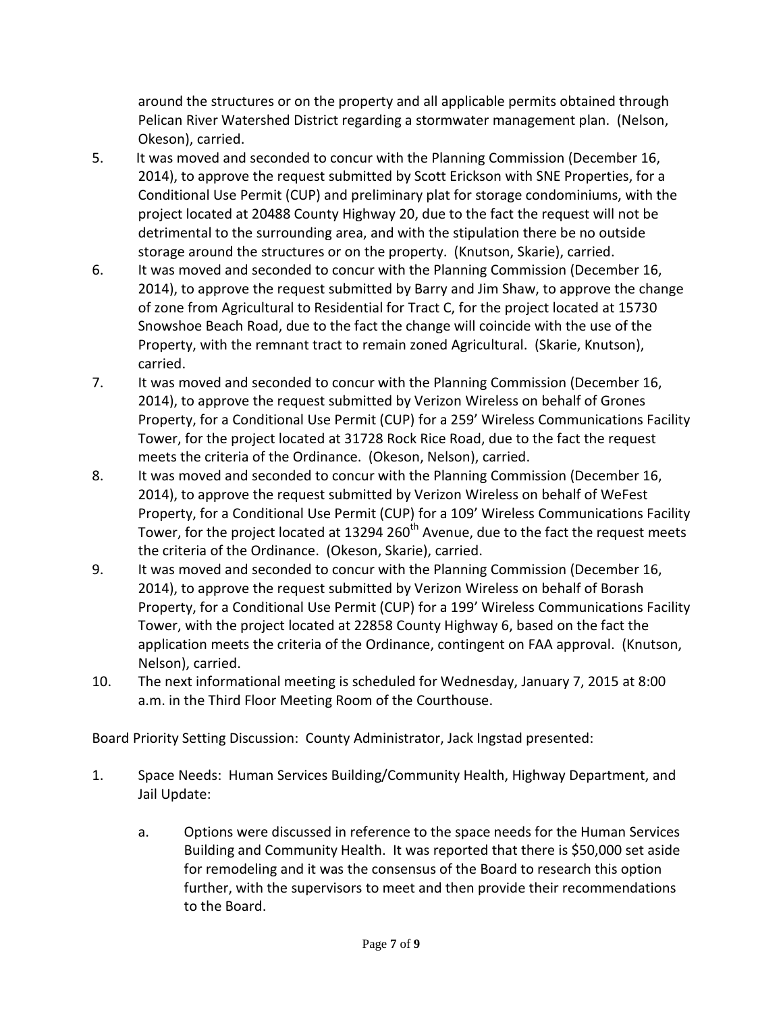around the structures or on the property and all applicable permits obtained through Pelican River Watershed District regarding a stormwater management plan. (Nelson, Okeson), carried.

- 5. It was moved and seconded to concur with the Planning Commission (December 16, 2014), to approve the request submitted by Scott Erickson with SNE Properties, for a Conditional Use Permit (CUP) and preliminary plat for storage condominiums, with the project located at 20488 County Highway 20, due to the fact the request will not be detrimental to the surrounding area, and with the stipulation there be no outside storage around the structures or on the property. (Knutson, Skarie), carried.
- 6. It was moved and seconded to concur with the Planning Commission (December 16, 2014), to approve the request submitted by Barry and Jim Shaw, to approve the change of zone from Agricultural to Residential for Tract C, for the project located at 15730 Snowshoe Beach Road, due to the fact the change will coincide with the use of the Property, with the remnant tract to remain zoned Agricultural. (Skarie, Knutson), carried.
- 7. It was moved and seconded to concur with the Planning Commission (December 16, 2014), to approve the request submitted by Verizon Wireless on behalf of Grones Property, for a Conditional Use Permit (CUP) for a 259' Wireless Communications Facility Tower, for the project located at 31728 Rock Rice Road, due to the fact the request meets the criteria of the Ordinance. (Okeson, Nelson), carried.
- 8. It was moved and seconded to concur with the Planning Commission (December 16, 2014), to approve the request submitted by Verizon Wireless on behalf of WeFest Property, for a Conditional Use Permit (CUP) for a 109' Wireless Communications Facility Tower, for the project located at 13294 260<sup>th</sup> Avenue, due to the fact the request meets the criteria of the Ordinance. (Okeson, Skarie), carried.
- 9. It was moved and seconded to concur with the Planning Commission (December 16, 2014), to approve the request submitted by Verizon Wireless on behalf of Borash Property, for a Conditional Use Permit (CUP) for a 199' Wireless Communications Facility Tower, with the project located at 22858 County Highway 6, based on the fact the application meets the criteria of the Ordinance, contingent on FAA approval. (Knutson, Nelson), carried.
- 10. The next informational meeting is scheduled for Wednesday, January 7, 2015 at 8:00 a.m. in the Third Floor Meeting Room of the Courthouse.

Board Priority Setting Discussion: County Administrator, Jack Ingstad presented:

- 1. Space Needs: Human Services Building/Community Health, Highway Department, and Jail Update:
	- a. Options were discussed in reference to the space needs for the Human Services Building and Community Health. It was reported that there is \$50,000 set aside for remodeling and it was the consensus of the Board to research this option further, with the supervisors to meet and then provide their recommendations to the Board.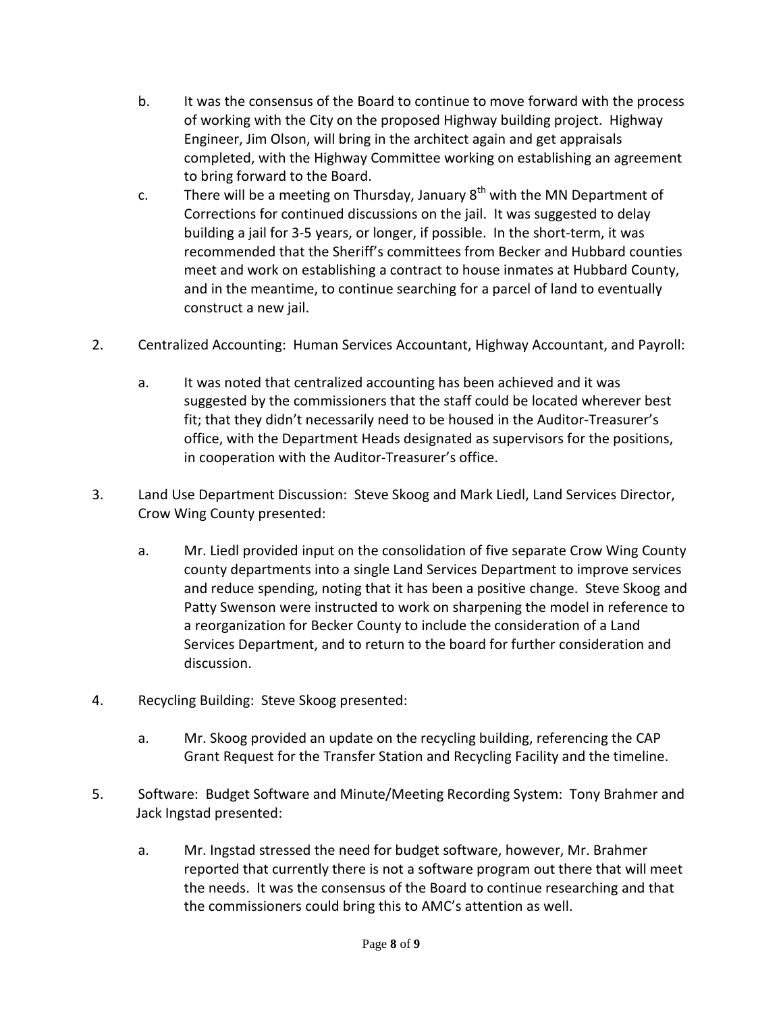- b. It was the consensus of the Board to continue to move forward with the process of working with the City on the proposed Highway building project. Highway Engineer, Jim Olson, will bring in the architect again and get appraisals completed, with the Highway Committee working on establishing an agreement to bring forward to the Board.
- c. There will be a meeting on Thursday, January  $8<sup>th</sup>$  with the MN Department of Corrections for continued discussions on the jail. It was suggested to delay building a jail for 3-5 years, or longer, if possible. In the short-term, it was recommended that the Sheriff's committees from Becker and Hubbard counties meet and work on establishing a contract to house inmates at Hubbard County, and in the meantime, to continue searching for a parcel of land to eventually construct a new jail.
- 2. Centralized Accounting: Human Services Accountant, Highway Accountant, and Payroll:
	- a. It was noted that centralized accounting has been achieved and it was suggested by the commissioners that the staff could be located wherever best fit; that they didn't necessarily need to be housed in the Auditor-Treasurer's office, with the Department Heads designated as supervisors for the positions, in cooperation with the Auditor-Treasurer's office.
- 3. Land Use Department Discussion: Steve Skoog and Mark Liedl, Land Services Director, Crow Wing County presented:
	- a. Mr. Liedl provided input on the consolidation of five separate Crow Wing County county departments into a single Land Services Department to improve services and reduce spending, noting that it has been a positive change. Steve Skoog and Patty Swenson were instructed to work on sharpening the model in reference to a reorganization for Becker County to include the consideration of a Land Services Department, and to return to the board for further consideration and discussion.
- 4. Recycling Building: Steve Skoog presented:
	- a. Mr. Skoog provided an update on the recycling building, referencing the CAP Grant Request for the Transfer Station and Recycling Facility and the timeline.
- 5. Software: Budget Software and Minute/Meeting Recording System: Tony Brahmer and Jack Ingstad presented:
	- a. Mr. Ingstad stressed the need for budget software, however, Mr. Brahmer reported that currently there is not a software program out there that will meet the needs. It was the consensus of the Board to continue researching and that the commissioners could bring this to AMC's attention as well.